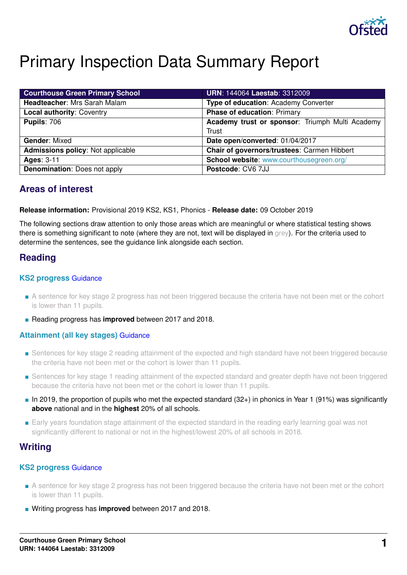

# Primary Inspection Data Summary Report

| <b>Courthouse Green Primary School</b>   | <b>URN: 144064 Laestab: 3312009</b>             |
|------------------------------------------|-------------------------------------------------|
| Headteacher: Mrs Sarah Malam             | Type of education: Academy Converter            |
| <b>Local authority: Coventry</b>         | <b>Phase of education: Primary</b>              |
| <b>Pupils: 706</b>                       | Academy trust or sponsor: Triumph Multi Academy |
|                                          | Trust                                           |
| <b>Gender: Mixed</b>                     | Date open/converted: 01/04/2017                 |
| <b>Admissions policy: Not applicable</b> | Chair of governors/trustees: Carmen Hibbert     |
| <b>Ages: 3-11</b>                        | School website: www.courthousegreen.org/        |
| <b>Denomination:</b> Does not apply      | Postcode: CV6 7JJ                               |

## **Areas of interest**

#### **Release information:** Provisional 2019 KS2, KS1, Phonics - **Release date:** 09 October 2019

The following sections draw attention to only those areas which are meaningful or where statistical testing shows there is something significant to note (where they are not, text will be displayed in grey). For the criteria used to determine the sentences, see the guidance link alongside each section.

## **Reading**

## **KS2 progress** [Guidance](https://www.gov.uk/guidance/school-inspection-data-summary-report-idsr-guide#key-stage-2-progress-reading-writing-and-mathematics)

- A sentence for key stage 2 progress has not been triggered because the criteria have not been met or the cohort is lower than 11 pupils.
- Reading progress has **improved** between 2017 and 2018.

## **Attainment (all key stages)** [Guidance](https://www.gov.uk/guidance/school-inspection-data-summary-report-idsr-guide#attainment-reading-writing-and-mathematics)

- Sentences for key stage 2 reading attainment of the expected and high standard have not been triggered because the criteria have not been met or the cohort is lower than 11 pupils.
- Sentences for key stage 1 reading attainment of the expected standard and greater depth have not been triggered because the criteria have not been met or the cohort is lower than 11 pupils.
- In 2019, the proportion of pupils who met the expected standard (32+) in phonics in Year 1 (91%) was significantly **above** national and in the **highest** 20% of all schools.
- Early years foundation stage attainment of the expected standard in the reading early learning goal was not significantly different to national or not in the highest/lowest 20% of all schools in 2018.

## **Writing**

## **KS2 progress** [Guidance](https://www.gov.uk/guidance/school-inspection-data-summary-report-idsr-guide#key-stage-2-progress-reading-writing-and-mathematics)

- A sentence for key stage 2 progress has not been triggered because the criteria have not been met or the cohort is lower than 11 pupils.
- Writing progress has **improved** between 2017 and 2018.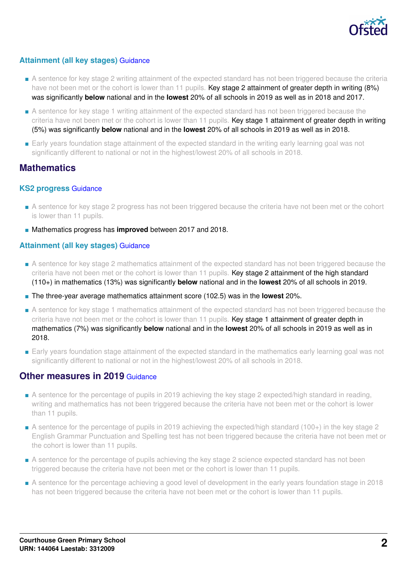

## **Attainment (all key stages)** [Guidance](https://www.gov.uk/guidance/school-inspection-data-summary-report-idsr-guide#attainment-reading-writing-and-mathematics)

- A sentence for key stage 2 writing attainment of the expected standard has not been triggered because the criteria have not been met or the cohort is lower than 11 pupils. Key stage 2 attainment of greater depth in writing (8%) was significantly **below** national and in the **lowest** 20% of all schools in 2019 as well as in 2018 and 2017.
- A sentence for key stage 1 writing attainment of the expected standard has not been triggered because the criteria have not been met or the cohort is lower than 11 pupils. Key stage 1 attainment of greater depth in writing (5%) was significantly **below** national and in the **lowest** 20% of all schools in 2019 as well as in 2018.
- Early years foundation stage attainment of the expected standard in the writing early learning goal was not significantly different to national or not in the highest/lowest 20% of all schools in 2018.

## **Mathematics**

## **KS2 progress** [Guidance](https://www.gov.uk/guidance/school-inspection-data-summary-report-idsr-guide#key-stage-2-progress-reading-writing-and-mathematics)

- A sentence for key stage 2 progress has not been triggered because the criteria have not been met or the cohort is lower than 11 pupils.
- Mathematics progress has **improved** between 2017 and 2018.

## **Attainment (all key stages)** [Guidance](https://www.gov.uk/guidance/school-inspection-data-summary-report-idsr-guide#attainment-reading-writing-and-mathematics)

- A sentence for key stage 2 mathematics attainment of the expected standard has not been triggered because the criteria have not been met or the cohort is lower than 11 pupils. Key stage 2 attainment of the high standard (110+) in mathematics (13%) was significantly **below** national and in the **lowest** 20% of all schools in 2019.
- The three-year average mathematics attainment score (102.5) was in the **lowest** 20%.
- A sentence for key stage 1 mathematics attainment of the expected standard has not been triggered because the criteria have not been met or the cohort is lower than 11 pupils. Key stage 1 attainment of greater depth in mathematics (7%) was significantly **below** national and in the **lowest** 20% of all schools in 2019 as well as in 2018.
- Early years foundation stage attainment of the expected standard in the mathematics early learning goal was not significantly different to national or not in the highest/lowest 20% of all schools in 2018.

## **Other measures in 2019 [Guidance](https://www.gov.uk/guidance/school-inspection-data-summary-report-idsr-guide#other-measures)**

- A sentence for the percentage of pupils in 2019 achieving the key stage 2 expected/high standard in reading, writing and mathematics has not been triggered because the criteria have not been met or the cohort is lower than 11 pupils.
- A sentence for the percentage of pupils in 2019 achieving the expected/high standard (100+) in the key stage 2 English Grammar Punctuation and Spelling test has not been triggered because the criteria have not been met or the cohort is lower than 11 pupils.
- A sentence for the percentage of pupils achieving the key stage 2 science expected standard has not been triggered because the criteria have not been met or the cohort is lower than 11 pupils.
- A sentence for the percentage achieving a good level of development in the early years foundation stage in 2018 has not been triggered because the criteria have not been met or the cohort is lower than 11 pupils.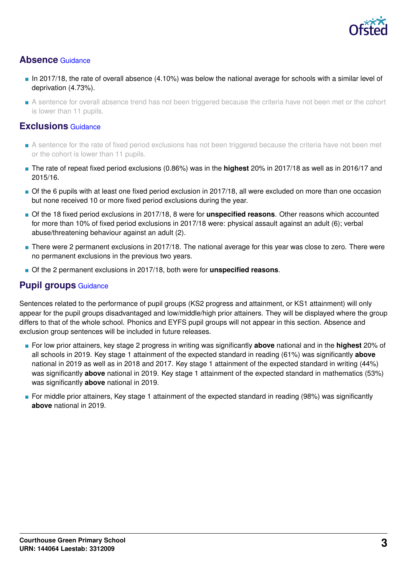

## **Absence** [Guidance](https://www.gov.uk/guidance/school-inspection-data-summary-report-idsr-guide#absence)

- In 2017/18, the rate of overall absence (4.10%) was below the national average for schools with a similar level of deprivation (4.73%).
- A sentence for overall absence trend has not been triggered because the criteria have not been met or the cohort is lower than 11 pupils.

## **Exclusions** [Guidance](https://www.gov.uk/guidance/school-inspection-data-summary-report-idsr-guide#exclusions)

- A sentence for the rate of fixed period exclusions has not been triggered because the criteria have not been met or the cohort is lower than 11 pupils.
- The rate of repeat fixed period exclusions (0.86%) was in the **highest** 20% in 2017/18 as well as in 2016/17 and 2015/16.
- Of the 6 pupils with at least one fixed period exclusion in 2017/18, all were excluded on more than one occasion but none received 10 or more fixed period exclusions during the year.
- Of the 18 fixed period exclusions in 2017/18, 8 were for **unspecified reasons**. Other reasons which accounted for more than 10% of fixed period exclusions in 2017/18 were: physical assault against an adult (6); verbal abuse/threatening behaviour against an adult (2).
- There were 2 permanent exclusions in 2017/18. The national average for this year was close to zero. There were no permanent exclusions in the previous two years.
- Of the 2 permanent exclusions in 2017/18, both were for **unspecified reasons**.

## **Pupil groups** [Guidance](https://www.gov.uk/guidance/school-inspection-data-summary-report-idsr-guide#pupil-groups)

Sentences related to the performance of pupil groups (KS2 progress and attainment, or KS1 attainment) will only appear for the pupil groups disadvantaged and low/middle/high prior attainers. They will be displayed where the group differs to that of the whole school. Phonics and EYFS pupil groups will not appear in this section. Absence and exclusion group sentences will be included in future releases.

- For low prior attainers, key stage 2 progress in writing was significantly **above** national and in the **highest** 20% of all schools in 2019. Key stage 1 attainment of the expected standard in reading (61%) was significantly **above** national in 2019 as well as in 2018 and 2017. Key stage 1 attainment of the expected standard in writing (44%) was significantly **above** national in 2019. Key stage 1 attainment of the expected standard in mathematics (53%) was significantly **above** national in 2019.
- For middle prior attainers, Key stage 1 attainment of the expected standard in reading (98%) was significantly **above** national in 2019.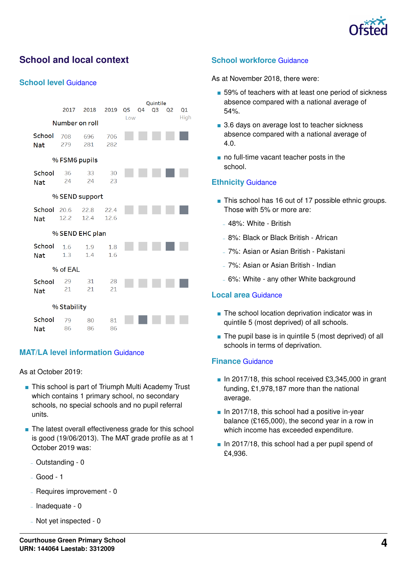

# **School and local context**

#### **School level** [Guidance](https://www.gov.uk/guidance/school-inspection-data-summary-report-idsr-guide#school-level)

|                               | 2017            | 2018         | 2019         | Q5 | Q1 |  |  |  |  |  |
|-------------------------------|-----------------|--------------|--------------|----|----|--|--|--|--|--|
| High<br>Low<br>Number on roll |                 |              |              |    |    |  |  |  |  |  |
| School<br><b>Nat</b>          | 708<br>279      | 696<br>281   | 706<br>282   |    |    |  |  |  |  |  |
| % FSM6 pupils                 |                 |              |              |    |    |  |  |  |  |  |
| School<br><b>Nat</b>          | 36<br>24        | 33<br>24     | 30<br>23     |    |    |  |  |  |  |  |
|                               | % SEND support  |              |              |    |    |  |  |  |  |  |
| School 20.6<br><b>Nat</b>     | 12.2            | 22.8<br>12.4 | 22.4<br>12.6 |    |    |  |  |  |  |  |
|                               | % SEND EHC plan |              |              |    |    |  |  |  |  |  |
| School<br><b>Nat</b>          | 1.6<br>1.3      | 1.9<br>1.4   | 1.8<br>1.6   |    |    |  |  |  |  |  |
|                               | % of EAL        |              |              |    |    |  |  |  |  |  |
| School<br><b>Nat</b>          | 29<br>21        | 31<br>21     | 28<br>21     |    |    |  |  |  |  |  |
|                               | % Stability     |              |              |    |    |  |  |  |  |  |
| School<br>Not                 | 79<br>86.       | 80<br>86.    | 81<br>86.    |    |    |  |  |  |  |  |

## **MAT/LA level information** [Guidance](https://www.gov.uk/guidance/school-inspection-data-summary-report-idsr-guide#multi-academy)

As at October 2019:

- This school is part of Triumph Multi Academy Trust which contains 1 primary school, no secondary schools, no special schools and no pupil referral units.
- The latest overall effectiveness grade for this school is good (19/06/2013). The MAT grade profile as at 1 October 2019 was:
	- Outstanding 0
	- Good 1
	- Requires improvement 0
	- $-$  Inadequate 0
	- Not yet inspected 0

## **School workforce** [Guidance](https://www.gov.uk/guidance/school-inspection-data-summary-report-idsr-guide#school-workforce)

As at November 2018, there were:

- 59% of teachers with at least one period of sickness absence compared with a national average of 54%.
- 3.6 days on average lost to teacher sickness absence compared with a national average of 4.0.
- no full-time vacant teacher posts in the school.

#### **Ethnicity** [Guidance](https://www.gov.uk/guidance/school-inspection-data-summary-report-idsr-guide#ethnicity)

- This school has 16 out of 17 possible ethnic groups. Those with 5% or more are:
	- 48%: White British
	- 8%: Black or Black British African
	- 7%: Asian or Asian British Pakistani
	- 7%: Asian or Asian British Indian
	- 6%: White any other White background

#### **Local area** [Guidance](https://www.gov.uk/guidance/school-inspection-data-summary-report-idsr-guide#local-area)

- The school location deprivation indicator was in quintile 5 (most deprived) of all schools.
- The pupil base is in quintile 5 (most deprived) of all schools in terms of deprivation.

#### **Finance** [Guidance](https://www.gov.uk/guidance/school-inspection-data-summary-report-idsr-guide#finance)

- $\blacksquare$  In 2017/18, this school received £3,345,000 in grant funding, £1,978,187 more than the national average.
- $\blacksquare$  In 2017/18, this school had a positive in-year balance (£165,000), the second year in a row in which income has exceeded expenditure.
- In 2017/18, this school had a per pupil spend of £4,936.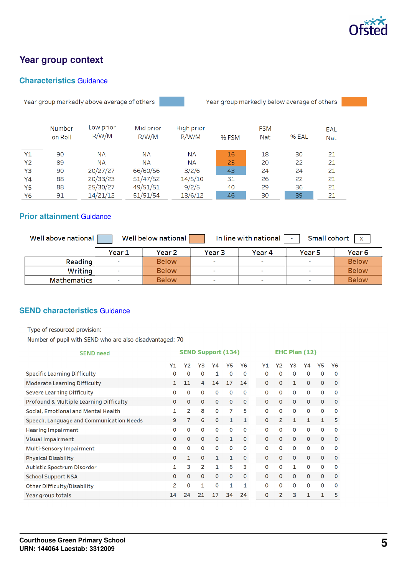

# **Year group context**

## **Characteristics** [Guidance](https://www.gov.uk/guidance/school-inspection-data-summary-report-idsr-guide#characteristics)

Year group markedly above average of others



Year group markedly below average of others

|           | Number<br>on Roll | Low prior<br>R/W/M | Mid prior<br>R/W/M | High prior<br>R/W/M | % FSM | <b>FSM</b><br><b>Nat</b> | % EAL | EAL<br><b>Nat</b> |
|-----------|-------------------|--------------------|--------------------|---------------------|-------|--------------------------|-------|-------------------|
| Y1        | 90                | <b>NA</b>          | <b>NA</b>          | <b>NA</b>           | 16    | 18                       | 30    | 21                |
| <b>Y2</b> | 89                | <b>NA</b>          | <b>NA</b>          | <b>NA</b>           | 25    | 20                       | 22    | 21                |
| Y3        | 90                | 20/27/27           | 66/60/56           | 3/2/6               | 43    | 24                       | 24    | 21                |
| Y4        | 88                | 20/33/23           | 51/47/52           | 14/5/10             | 31    | 26                       | 22    | 21                |
| Y5        | 88                | 25/30/27           | 49/51/51           | 9/2/5               | 40    | 29                       | 36    | 21                |
| Y6        | 91                | 14/21/12           | 51/51/54           | 13/6/12             | 46    | 30                       | 39    | 21                |

## **Prior attainment** [Guidance](https://www.gov.uk/guidance/school-inspection-data-summary-report-idsr-guide#prior-attainment)

| Well above national | Small cohort<br>In line with national<br>Well below national<br>$\mathsf{X}$<br>$\sim$ |              |            |                          |                          |                   |  |  |  |
|---------------------|----------------------------------------------------------------------------------------|--------------|------------|--------------------------|--------------------------|-------------------|--|--|--|
|                     | Year 1                                                                                 | Year 2       | Year 3     | Year 4                   | Year 5                   | Year <sub>6</sub> |  |  |  |
| Reading             |                                                                                        | <b>Below</b> | <b>COL</b> | $\sim$                   | m.                       | <b>Below</b>      |  |  |  |
| Writing             |                                                                                        | <b>Below</b> | $\sim$     | ×                        | $\sim$                   | <b>Below</b>      |  |  |  |
| <b>Mathematics</b>  |                                                                                        | <b>Below</b> | $\sim$     | $\overline{\phantom{a}}$ | $\overline{\phantom{a}}$ | <b>Below</b>      |  |  |  |

## **SEND characteristics** [Guidance](https://www.gov.uk/guidance/school-inspection-data-summary-report-idsr-guide#send)

Type of resourced provision:

Number of pupil with SEND who are also disadvantaged: 70

| <b>SEND need</b>                         | <b>SEND Support (134)</b> |    |                |              |              | EHC Plan (12) |    |              |              |              |             |             |             |
|------------------------------------------|---------------------------|----|----------------|--------------|--------------|---------------|----|--------------|--------------|--------------|-------------|-------------|-------------|
|                                          | Y1                        | Y2 | Y3             | Υ4           | Υ5           | Y6            | Υ1 |              | Υ2           | Y3           | Y4          | Υ5          | Y6          |
| <b>Specific Learning Difficulty</b>      | 0                         | O  | 0              | 1            | 0            | O             |    | O            | $\Omega$     | 0            | $\Omega$    | 0           | $\mathbf 0$ |
| <b>Moderate Learning Difficulty</b>      | 1                         | 11 | 4              | 14           | 17           | 14            |    | $\mathbf 0$  | $\mathbf{0}$ | $\mathbf{1}$ | $\mathbf 0$ | 0           | $\circ$     |
| <b>Severe Learning Difficulty</b>        | 0                         | 0  | 0              | 0            | O            | $\mathbf 0$   |    | 0            | 0            | $\mathbf 0$  | $\Omega$    | 0           | $\mathbf 0$ |
| Profound & Multiple Learning Difficulty  | O                         | 0  | $\mathbf 0$    | $\Omega$     | $\mathbf 0$  | $\Omega$      |    | $\Omega$     | $\Omega$     | 0            | $\Omega$    | 0           | $\circ$     |
| Social, Emotional and Mental Health      | 1                         | 2  | 8              | 0            | 7            | 5             |    | 0            | $\mathbf 0$  | $\mathbf 0$  | 0           | 0           | $\mathbf 0$ |
| Speech, Language and Communication Needs | 9                         | 7  | 6              | 0            | 1            | 1             |    | $\circ$      | 2            | 1            | 1           | 1           | 5           |
| <b>Hearing Impairment</b>                | O                         | 0  | $\mathbf 0$    | $\mathbf 0$  | $\Omega$     | $\Omega$      |    | O            | $\Omega$     | 0            | $\Omega$    | $\Omega$    | $\mathbf 0$ |
| <b>Visual Impairment</b>                 | 0                         | 0  | $\mathbf{O}$   | O            | 1            | $\circ$       |    | $\mathbf{O}$ | $\mathbf 0$  | $\mathbf{O}$ | $\Omega$    | $\mathbf 0$ | $\circ$     |
| Multi-Sensory Impairment                 | O                         | O  | $\mathbf 0$    | 0            | 0            | $\mathbf 0$   |    | O            | $\Omega$     | $\mathbf 0$  | $\Omega$    | O           | $\mathbf 0$ |
| <b>Physical Disability</b>               | 0                         | 1  | $\mathbf 0$    | 1            | 1            | $\mathbf 0$   |    | $\mathbf 0$  | $\mathbf{0}$ | $\mathbf{0}$ | 0           | 0           | $\circ$     |
| Autistic Spectrum Disorder               | 1                         | 3  | $\overline{2}$ | 1            | 6            | 3             |    | $\mathbf 0$  | $\mathbf 0$  | 1            | $\mathbf 0$ | 0           | $\circ$     |
| <b>School Support NSA</b>                | 0                         | 0  | $\mathbf{0}$   | $\mathbf{O}$ | $\mathbf{0}$ | $\mathbf 0$   |    | $\mathbf{0}$ | $\mathbf{0}$ | $\mathbf{0}$ | $\mathbf 0$ | 0           | $\mathbf 0$ |
| Other Difficulty/Disability              | 2                         | 0  | 1              | 0            | 1            | 1             |    | $\Omega$     | $\mathbf 0$  | $\mathbf 0$  | $\Omega$    | 0           | $\Omega$    |
| Year group totals                        | 14                        | 24 | 21             | 17           | 34           | 24            |    | $\mathbf 0$  | 2            | 3            | 1           | 1           | 5           |